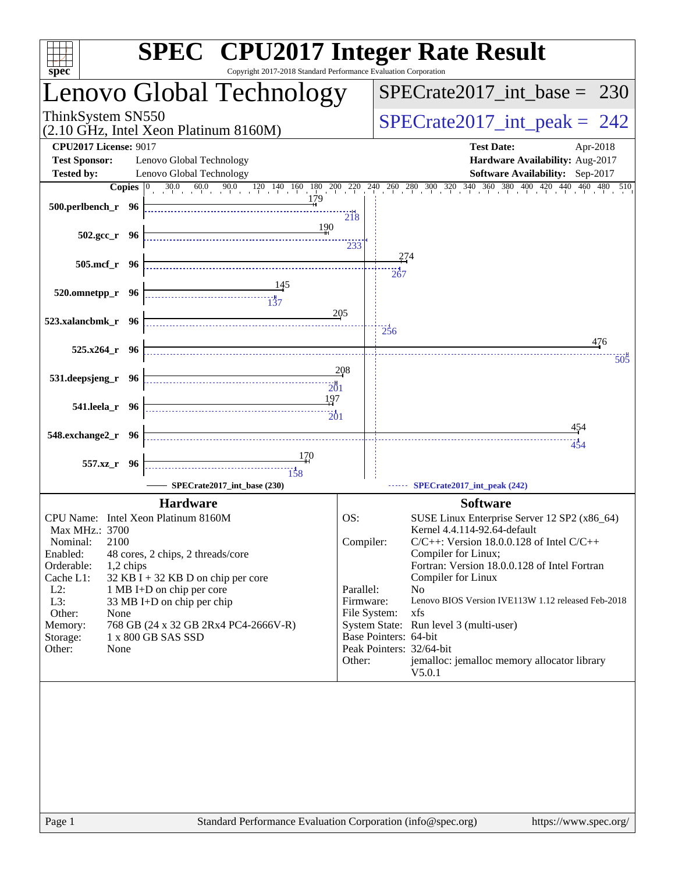| spec <sup>®</sup>                                                         |                                                                   | Copyright 2017-2018 Standard Performance Evaluation Corporation |                           |                                 | <b>SPEC<sup>®</sup></b> CPU2017 Integer Rate Result                                                                                         |
|---------------------------------------------------------------------------|-------------------------------------------------------------------|-----------------------------------------------------------------|---------------------------|---------------------------------|---------------------------------------------------------------------------------------------------------------------------------------------|
|                                                                           |                                                                   | Lenovo Global Technology                                        |                           |                                 | $SPECrate2017\_int\_base = 230$                                                                                                             |
| ThinkSystem SN550<br>(2.10 GHz, Intel Xeon Platinum 8160M)                |                                                                   |                                                                 |                           | $SPECrate2017\_int\_peak = 242$ |                                                                                                                                             |
| <b>CPU2017 License: 9017</b><br><b>Test Sponsor:</b><br><b>Tested by:</b> | Lenovo Global Technology<br>Lenovo Global Technology              |                                                                 |                           |                                 | <b>Test Date:</b><br>Apr-2018<br>Hardware Availability: Aug-2017<br>Software Availability: Sep-2017                                         |
| Copies $ 0 $                                                              |                                                                   |                                                                 |                           |                                 | $30.0$ $60.0$ $90.0$ $120$ $140$ $160$ $180$ $200$ $220$ $240$ $260$ $280$ $300$ $320$ $340$ $360$ $380$ $400$ $420$ $440$ $460$<br>480 510 |
| 500.perlbench_r 96                                                        |                                                                   |                                                                 | $\frac{1}{218}$           |                                 |                                                                                                                                             |
| $502.\text{gcc}_r$ 96                                                     |                                                                   | 190                                                             | 233                       |                                 |                                                                                                                                             |
| 505.mcf r 96                                                              |                                                                   |                                                                 |                           |                                 | 274<br>267                                                                                                                                  |
| 520.omnetpp_r 96                                                          |                                                                   |                                                                 |                           |                                 |                                                                                                                                             |
| 523.xalancbmk_r 96                                                        |                                                                   |                                                                 | 205                       | 236                             |                                                                                                                                             |
| $525.x264$ $r$ 96                                                         |                                                                   |                                                                 |                           |                                 | 476<br>505                                                                                                                                  |
| 531.deepsjeng_r 96                                                        |                                                                   |                                                                 | 208<br>201                |                                 |                                                                                                                                             |
| 541.leela_r 96                                                            |                                                                   |                                                                 | 197                       |                                 |                                                                                                                                             |
| 548.exchange2_r 96                                                        |                                                                   |                                                                 |                           |                                 | 454<br>454                                                                                                                                  |
| 557.xz_r 96                                                               |                                                                   | 170<br>158                                                      |                           |                                 |                                                                                                                                             |
|                                                                           |                                                                   | SPECrate2017_int_base (230)                                     |                           |                                 | SPECrate2017_int_peak (242)                                                                                                                 |
| CPU Name: Intel Xeon Platinum 8160M<br>Max MHz.: 3700                     | <b>Hardware</b>                                                   |                                                                 | OS:                       |                                 | <b>Software</b><br>SUSE Linux Enterprise Server 12 SP2 (x86_64)<br>Kernel 4.4.114-92.64-default                                             |
| 2100<br>Nominal:<br>Enabled:                                              | 48 cores, 2 chips, 2 threads/core                                 |                                                                 | Compiler:                 |                                 | $C/C++$ : Version 18.0.0.128 of Intel $C/C++$<br>Compiler for Linux;                                                                        |
| Orderable:<br>1,2 chips<br>Cache L1:<br>$L2$ :                            | $32$ KB I + 32 KB D on chip per core<br>1 MB I+D on chip per core |                                                                 | Parallel:                 |                                 | Fortran: Version 18.0.0.128 of Intel Fortran<br>Compiler for Linux<br>No                                                                    |
| L3:<br>Other:<br>None                                                     | 33 MB I+D on chip per chip                                        |                                                                 | Firmware:<br>File System: |                                 | Lenovo BIOS Version IVE113W 1.12 released Feb-2018<br>xfs                                                                                   |
| Memory:<br>Storage:                                                       | 1 x 800 GB SAS SSD                                                | 768 GB (24 x 32 GB 2Rx4 PC4-2666V-R)                            |                           |                                 | System State: Run level 3 (multi-user)<br>Base Pointers: 64-bit                                                                             |
| Other:<br>None                                                            |                                                                   |                                                                 | Other:                    |                                 | Peak Pointers: 32/64-bit<br>jemalloc: jemalloc memory allocator library<br>V5.0.1                                                           |
|                                                                           |                                                                   |                                                                 |                           |                                 |                                                                                                                                             |
|                                                                           |                                                                   |                                                                 |                           |                                 |                                                                                                                                             |
|                                                                           |                                                                   |                                                                 |                           |                                 |                                                                                                                                             |
|                                                                           |                                                                   |                                                                 |                           |                                 |                                                                                                                                             |
|                                                                           |                                                                   |                                                                 |                           |                                 |                                                                                                                                             |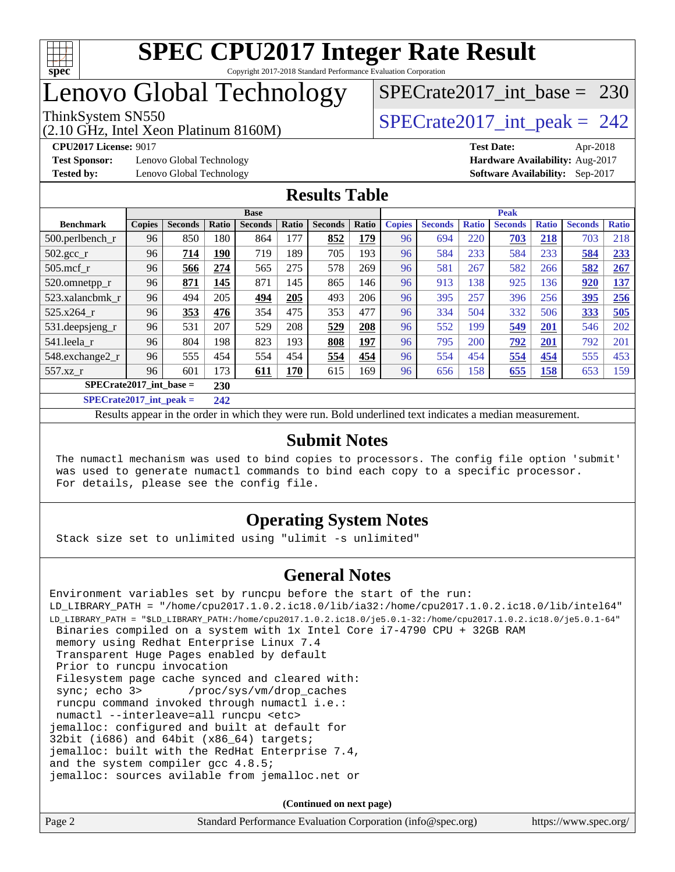

## Lenovo Global Technology

(2.10 GHz, Intel Xeon Platinum 8160M)

ThinkSystem SN550<br>  $\angle (2.10 \text{ GHz. Intel Yoon Plotinum } 8160 \text{M})$   $\angle$  [SPECrate2017\\_int\\_peak =](http://www.spec.org/auto/cpu2017/Docs/result-fields.html#SPECrate2017intpeak) 242

[SPECrate2017\\_int\\_base =](http://www.spec.org/auto/cpu2017/Docs/result-fields.html#SPECrate2017intbase) 230

**[Test Sponsor:](http://www.spec.org/auto/cpu2017/Docs/result-fields.html#TestSponsor)** Lenovo Global Technology **[Hardware Availability:](http://www.spec.org/auto/cpu2017/Docs/result-fields.html#HardwareAvailability)** Aug-2017

**[CPU2017 License:](http://www.spec.org/auto/cpu2017/Docs/result-fields.html#CPU2017License)** 9017 **[Test Date:](http://www.spec.org/auto/cpu2017/Docs/result-fields.html#TestDate)** Apr-2018 **[Tested by:](http://www.spec.org/auto/cpu2017/Docs/result-fields.html#Testedby)** Lenovo Global Technology **[Software Availability:](http://www.spec.org/auto/cpu2017/Docs/result-fields.html#SoftwareAvailability)** Sep-2017

#### **[Results Table](http://www.spec.org/auto/cpu2017/Docs/result-fields.html#ResultsTable)**

|                                  | <b>Base</b>   |                |       |                |       | <b>Peak</b>    |       |               |                |              |                |              |                |              |
|----------------------------------|---------------|----------------|-------|----------------|-------|----------------|-------|---------------|----------------|--------------|----------------|--------------|----------------|--------------|
| <b>Benchmark</b>                 | <b>Copies</b> | <b>Seconds</b> | Ratio | <b>Seconds</b> | Ratio | <b>Seconds</b> | Ratio | <b>Copies</b> | <b>Seconds</b> | <b>Ratio</b> | <b>Seconds</b> | <b>Ratio</b> | <b>Seconds</b> | <b>Ratio</b> |
| $500.$ perlbench_r               | 96            | 850            | 180   | 864            | 177   | 852            | 179   | 96            | 694            | 220          | 703            | 218          | 703            | 218          |
| 502.gcc_r                        | 96            | 714            | 190   | 719            | 189   | 705            | 193   | 96            | 584            | 233          | 584            | 233          | 584            | 233          |
| $505$ .mcf r                     | 96            | 566            | 274   | 565            | 275   | 578            | 269   | 96            | 581            | 267          | 582            | 266          | 582            | 267          |
| 520.omnetpp_r                    | 96            | 871            | 145   | 871            | 145   | 865            | 146   | 96            | 913            | 138          | 925            | 136          | 920            | <u>137</u>   |
| 523.xalancbmk r                  | 96            | 494            | 205   | 494            | 205   | 493            | 206   | 96            | 395            | 257          | 396            | 256          | 395            | 256          |
| 525.x264 r                       | 96            | 353            | 476   | 354            | 475   | 353            | 477   | 96            | 334            | 504          | 332            | 506          | 333            | 505          |
| 531.deepsjeng_r                  | 96            | 531            | 207   | 529            | 208   | 529            | 208   | 96            | 552            | 199          | 549            | 201          | 546            | 202          |
| 541.leela r                      | 96            | 804            | 198   | 823            | 193   | 808            | 197   | 96            | 795            | 200          | 792            | 201          | 792            | 201          |
| 548.exchange2_r                  | 96            | 555            | 454   | 554            | 454   | 554            | 454   | 96            | 554            | 454          | 554            | 454          | 555            | 453          |
| 557.xz r                         | 96            | 601            | 173   | 611            | 170   | 615            | 169   | 96            | 656            | 158          | 655            | 158          | 653            | 159          |
| $SPECrate2017$ int base =<br>230 |               |                |       |                |       |                |       |               |                |              |                |              |                |              |
| $CDDCD = 1.4047 + 1.1$           |               |                | A     |                |       |                |       |               |                |              |                |              |                |              |

**[SPECrate2017\\_int\\_peak =](http://www.spec.org/auto/cpu2017/Docs/result-fields.html#SPECrate2017intpeak) 242**

Results appear in the [order in which they were run](http://www.spec.org/auto/cpu2017/Docs/result-fields.html#RunOrder). Bold underlined text [indicates a median measurement](http://www.spec.org/auto/cpu2017/Docs/result-fields.html#Median).

#### **[Submit Notes](http://www.spec.org/auto/cpu2017/Docs/result-fields.html#SubmitNotes)**

 The numactl mechanism was used to bind copies to processors. The config file option 'submit' was used to generate numactl commands to bind each copy to a specific processor. For details, please see the config file.

### **[Operating System Notes](http://www.spec.org/auto/cpu2017/Docs/result-fields.html#OperatingSystemNotes)**

Stack size set to unlimited using "ulimit -s unlimited"

#### **[General Notes](http://www.spec.org/auto/cpu2017/Docs/result-fields.html#GeneralNotes)**

Environment variables set by runcpu before the start of the run: LD\_LIBRARY\_PATH = "/home/cpu2017.1.0.2.ic18.0/lib/ia32:/home/cpu2017.1.0.2.ic18.0/lib/intel64" LD\_LIBRARY\_PATH = "\$LD\_LIBRARY\_PATH:/home/cpu2017.1.0.2.ic18.0/je5.0.1-32:/home/cpu2017.1.0.2.ic18.0/je5.0.1-64" Binaries compiled on a system with 1x Intel Core i7-4790 CPU + 32GB RAM memory using Redhat Enterprise Linux 7.4 Transparent Huge Pages enabled by default Prior to runcpu invocation Filesystem page cache synced and cleared with: sync; echo 3> /proc/sys/vm/drop\_caches runcpu command invoked through numactl i.e.: numactl --interleave=all runcpu <etc> jemalloc: configured and built at default for 32bit (i686) and 64bit (x86\_64) targets; jemalloc: built with the RedHat Enterprise 7.4, and the system compiler gcc 4.8.5; jemalloc: sources avilable from jemalloc.net or

| Page 2 | Standard Performance Evaluation Corporation (info@spec.org) | https://www.spec.org/ |
|--------|-------------------------------------------------------------|-----------------------|
|        |                                                             |                       |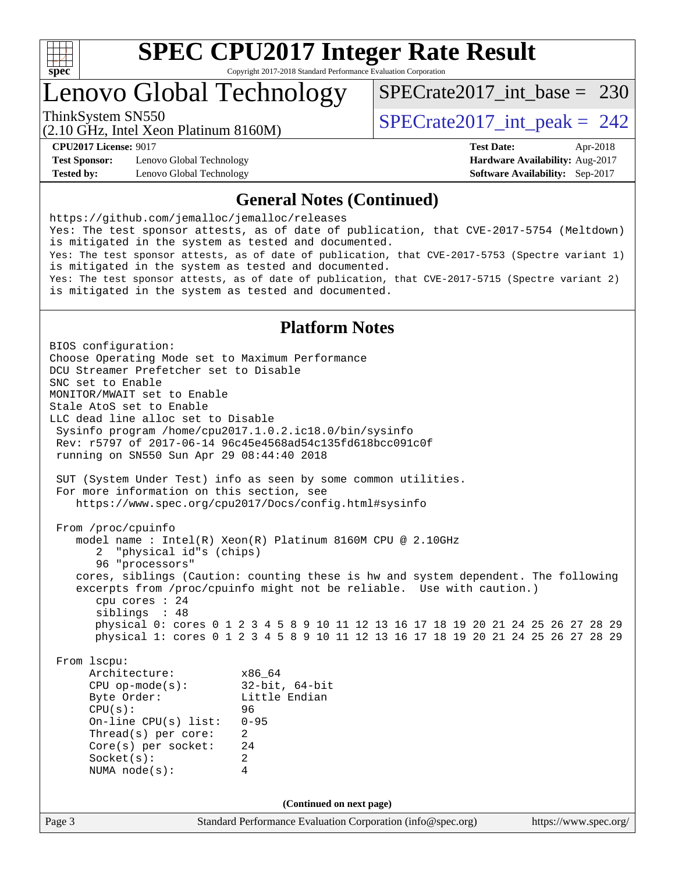

### Lenovo Global Technology

[SPECrate2017\\_int\\_base =](http://www.spec.org/auto/cpu2017/Docs/result-fields.html#SPECrate2017intbase) 230

(2.10 GHz, Intel Xeon Platinum 8160M) ThinkSystem SN550<br>  $\angle (2.10 \text{ GHz. Intel Yoon Plotinum } 8160 \text{M})$   $\angle$  [SPECrate2017\\_int\\_peak =](http://www.spec.org/auto/cpu2017/Docs/result-fields.html#SPECrate2017intpeak) 242

**[Test Sponsor:](http://www.spec.org/auto/cpu2017/Docs/result-fields.html#TestSponsor)** Lenovo Global Technology **[Hardware Availability:](http://www.spec.org/auto/cpu2017/Docs/result-fields.html#HardwareAvailability)** Aug-2017 **[Tested by:](http://www.spec.org/auto/cpu2017/Docs/result-fields.html#Testedby)** Lenovo Global Technology **[Software Availability:](http://www.spec.org/auto/cpu2017/Docs/result-fields.html#SoftwareAvailability)** Sep-2017

**[CPU2017 License:](http://www.spec.org/auto/cpu2017/Docs/result-fields.html#CPU2017License)** 9017 **[Test Date:](http://www.spec.org/auto/cpu2017/Docs/result-fields.html#TestDate)** Apr-2018

#### **[General Notes \(Continued\)](http://www.spec.org/auto/cpu2017/Docs/result-fields.html#GeneralNotes)**

<https://github.com/jemalloc/jemalloc/releases> Yes: The test sponsor attests, as of date of publication, that CVE-2017-5754 (Meltdown) is mitigated in the system as tested and documented. Yes: The test sponsor attests, as of date of publication, that CVE-2017-5753 (Spectre variant 1) is mitigated in the system as tested and documented. Yes: The test sponsor attests, as of date of publication, that CVE-2017-5715 (Spectre variant 2) is mitigated in the system as tested and documented.

#### **[Platform Notes](http://www.spec.org/auto/cpu2017/Docs/result-fields.html#PlatformNotes)**

Page 3 Standard Performance Evaluation Corporation [\(info@spec.org\)](mailto:info@spec.org) <https://www.spec.org/> BIOS configuration: Choose Operating Mode set to Maximum Performance DCU Streamer Prefetcher set to Disable SNC set to Enable MONITOR/MWAIT set to Enable Stale AtoS set to Enable LLC dead line alloc set to Disable Sysinfo program /home/cpu2017.1.0.2.ic18.0/bin/sysinfo Rev: r5797 of 2017-06-14 96c45e4568ad54c135fd618bcc091c0f running on SN550 Sun Apr 29 08:44:40 2018 SUT (System Under Test) info as seen by some common utilities. For more information on this section, see <https://www.spec.org/cpu2017/Docs/config.html#sysinfo> From /proc/cpuinfo model name : Intel(R) Xeon(R) Platinum 8160M CPU @ 2.10GHz 2 "physical id"s (chips) 96 "processors" cores, siblings (Caution: counting these is hw and system dependent. The following excerpts from /proc/cpuinfo might not be reliable. Use with caution.) cpu cores : 24 siblings : 48 physical 0: cores 0 1 2 3 4 5 8 9 10 11 12 13 16 17 18 19 20 21 24 25 26 27 28 29 physical 1: cores 0 1 2 3 4 5 8 9 10 11 12 13 16 17 18 19 20 21 24 25 26 27 28 29 From lscpu: Architecture: x86\_64<br>
CPU op-mode(s): 32-bit, 64-bit CPU op-mode $(s)$ : Byte Order: Little Endian CPU(s): 96 On-line CPU(s) list: 0-95 Thread(s) per core: 2 Core(s) per socket: 24 Socket(s): 2 NUMA node(s): 4 **(Continued on next page)**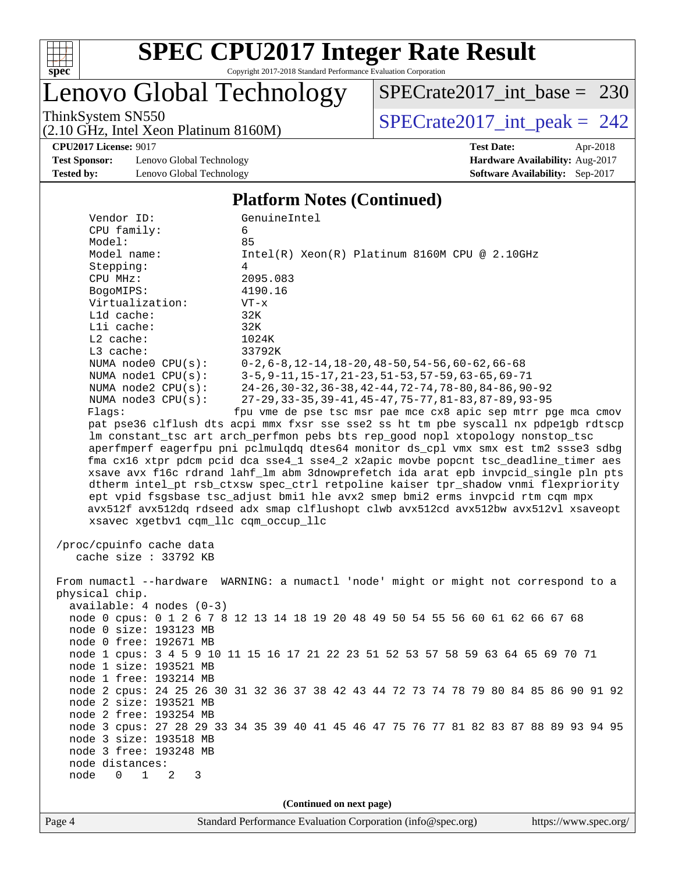

# Lenovo Global Technology

ThinkSystem SN550<br>  $(2.10 \text{ GHz})$  Intel Xeon Platinum 8160M) [SPECrate2017\\_int\\_peak =](http://www.spec.org/auto/cpu2017/Docs/result-fields.html#SPECrate2017intpeak) 242 [SPECrate2017\\_int\\_base =](http://www.spec.org/auto/cpu2017/Docs/result-fields.html#SPECrate2017intbase) 230

(2.10 GHz, Intel Xeon Platinum 8160M)

**[CPU2017 License:](http://www.spec.org/auto/cpu2017/Docs/result-fields.html#CPU2017License)** 9017 **[Test Date:](http://www.spec.org/auto/cpu2017/Docs/result-fields.html#TestDate)** Apr-2018

**[Test Sponsor:](http://www.spec.org/auto/cpu2017/Docs/result-fields.html#TestSponsor)** Lenovo Global Technology **[Hardware Availability:](http://www.spec.org/auto/cpu2017/Docs/result-fields.html#HardwareAvailability)** Aug-2017 **[Tested by:](http://www.spec.org/auto/cpu2017/Docs/result-fields.html#Testedby)** Lenovo Global Technology **[Software Availability:](http://www.spec.org/auto/cpu2017/Docs/result-fields.html#SoftwareAvailability)** Sep-2017

#### **[Platform Notes \(Continued\)](http://www.spec.org/auto/cpu2017/Docs/result-fields.html#PlatformNotes)**

| Vendor ID:<br>CPU family:                                 | GenuineIntel<br>6                                                                                                                                                          |
|-----------------------------------------------------------|----------------------------------------------------------------------------------------------------------------------------------------------------------------------------|
| Model:<br>Model name:<br>Stepping:                        | 85<br>$Intel(R) Xeon(R) Platinum 8160M CPU @ 2.10GHz$<br>4                                                                                                                 |
| CPU MHz:<br>BogoMIPS:                                     | 2095.083<br>4190.16                                                                                                                                                        |
| Virtualization:<br>L1d cache:                             | $VT - x$<br>32K                                                                                                                                                            |
| Lli cache:<br>$L2$ cache:                                 | 32K<br>1024K                                                                                                                                                               |
| L3 cache:<br>NUMA node0 CPU(s):                           | 33792K<br>$0-2, 6-8, 12-14, 18-20, 48-50, 54-56, 60-62, 66-68$                                                                                                             |
| NUMA $node1$ $CPU(s):$<br>NUMA node2 CPU(s):              | 3-5, 9-11, 15-17, 21-23, 51-53, 57-59, 63-65, 69-71<br>24-26, 30-32, 36-38, 42-44, 72-74, 78-80, 84-86, 90-92                                                              |
| NUMA $node3$ $CPU(s):$<br>Flags:                          | 27-29, 33-35, 39-41, 45-47, 75-77, 81-83, 87-89, 93-95<br>fpu vme de pse tsc msr pae mce cx8 apic sep mtrr pge mca cmov                                                    |
|                                                           | pat pse36 clflush dts acpi mmx fxsr sse sse2 ss ht tm pbe syscall nx pdpelgb rdtscp<br>lm constant_tsc art arch_perfmon pebs bts rep_good nopl xtopology nonstop_tsc       |
|                                                           | aperfmperf eagerfpu pni pclmulqdq dtes64 monitor ds_cpl vmx smx est tm2 ssse3 sdbg<br>fma cx16 xtpr pdcm pcid dca sse4_1 sse4_2 x2apic movbe popcnt tsc_deadline_timer aes |
|                                                           | xsave avx f16c rdrand lahf_lm abm 3dnowprefetch ida arat epb invpcid_single pln pts<br>dtherm intel_pt rsb_ctxsw spec_ctrl retpoline kaiser tpr_shadow vnmi flexpriority   |
| xsavec xgetbv1 cqm_llc cqm_occup_llc                      | ept vpid fsgsbase tsc_adjust bmil hle avx2 smep bmi2 erms invpcid rtm cqm mpx<br>avx512f avx512dq rdseed adx smap clflushopt clwb avx512cd avx512bw avx512vl xsaveopt      |
| /proc/cpuinfo cache data<br>cache size : 33792 KB         |                                                                                                                                                                            |
| physical chip.                                            | From numactl --hardware WARNING: a numactl 'node' might or might not correspond to a                                                                                       |
| $available: 4 nodes (0-3)$                                | node 0 cpus: 0 1 2 6 7 8 12 13 14 18 19 20 48 49 50 54 55 56 60 61 62 66 67 68                                                                                             |
| node 0 size: 193123 MB<br>node 0 free: 192671 MB          |                                                                                                                                                                            |
| node 1 size: 193521 MB<br>node 1 free: 193214 MB          | node 1 cpus: 3 4 5 9 10 11 15 16 17 21 22 23 51 52 53 57 58 59 63 64 65 69 70 71                                                                                           |
| node 2 size: 193521 MB                                    | node 2 cpus: 24 25 26 30 31 32 36 37 38 42 43 44 72 73 74 78 79 80 84 85 86 90 91 92                                                                                       |
| node 2 free: 193254 MB                                    | node 3 cpus: 27 28 29 33 34 35 39 40 41 45 46 47 75 76 77 81 82 83 87 88 89 93 94 95                                                                                       |
| node 3 size: 193518 MB<br>node 3 free: 193248 MB          |                                                                                                                                                                            |
| node distances:<br>node 0 1 2<br>$\overline{\phantom{a}}$ |                                                                                                                                                                            |
|                                                           |                                                                                                                                                                            |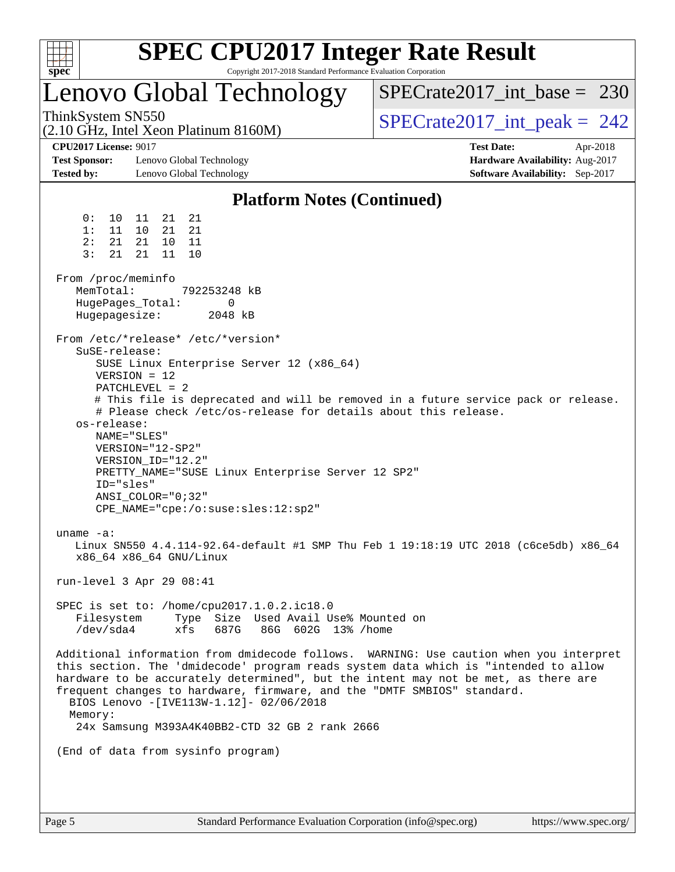| c<br>r |  |  |  |  |  |
|--------|--|--|--|--|--|

### Lenovo Global Technology

ThinkSystem SN550<br>  $\angle (2.10 \text{ GHz. Intel Yoon Plotinum } 8160 \text{M})$   $\angle$  [SPECrate2017\\_int\\_peak =](http://www.spec.org/auto/cpu2017/Docs/result-fields.html#SPECrate2017intpeak) 242  $SPECrate2017\_int\_base = 230$ 

(2.10 GHz, Intel Xeon Platinum 8160M)

**[Test Sponsor:](http://www.spec.org/auto/cpu2017/Docs/result-fields.html#TestSponsor)** Lenovo Global Technology **[Hardware Availability:](http://www.spec.org/auto/cpu2017/Docs/result-fields.html#HardwareAvailability)** Aug-2017 **[Tested by:](http://www.spec.org/auto/cpu2017/Docs/result-fields.html#Testedby)** Lenovo Global Technology **[Software Availability:](http://www.spec.org/auto/cpu2017/Docs/result-fields.html#SoftwareAvailability)** Sep-2017

**[CPU2017 License:](http://www.spec.org/auto/cpu2017/Docs/result-fields.html#CPU2017License)** 9017 **[Test Date:](http://www.spec.org/auto/cpu2017/Docs/result-fields.html#TestDate)** Apr-2018

### **[Platform Notes \(Continued\)](http://www.spec.org/auto/cpu2017/Docs/result-fields.html#PlatformNotes)**

 0: 10 11 21 21 1: 11 10 21 21 2: 21 21 10 11 3: 21 21 11 10 From /proc/meminfo MemTotal: 792253248 kB HugePages\_Total: 0 Hugepagesize: 2048 kB From /etc/\*release\* /etc/\*version\* SuSE-release: SUSE Linux Enterprise Server 12 (x86\_64) VERSION = 12 PATCHLEVEL = 2 # This file is deprecated and will be removed in a future service pack or release. # Please check /etc/os-release for details about this release. os-release: NAME="SLES" VERSION="12-SP2" VERSION\_ID="12.2" PRETTY\_NAME="SUSE Linux Enterprise Server 12 SP2" ID="sles" ANSI\_COLOR="0;32" CPE\_NAME="cpe:/o:suse:sles:12:sp2" uname -a: Linux SN550 4.4.114-92.64-default #1 SMP Thu Feb 1 19:18:19 UTC 2018 (c6ce5db) x86\_64 x86\_64 x86\_64 GNU/Linux run-level 3 Apr 29 08:41 SPEC is set to: /home/cpu2017.1.0.2.ic18.0 Filesystem Type Size Used Avail Use% Mounted on /dev/sda4 xfs 687G 86G 602G 13% /home Additional information from dmidecode follows. WARNING: Use caution when you interpret this section. The 'dmidecode' program reads system data which is "intended to allow hardware to be accurately determined", but the intent may not be met, as there are frequent changes to hardware, firmware, and the "DMTF SMBIOS" standard. BIOS Lenovo -[IVE113W-1.12]- 02/06/2018 Memory: 24x Samsung M393A4K40BB2-CTD 32 GB 2 rank 2666 (End of data from sysinfo program)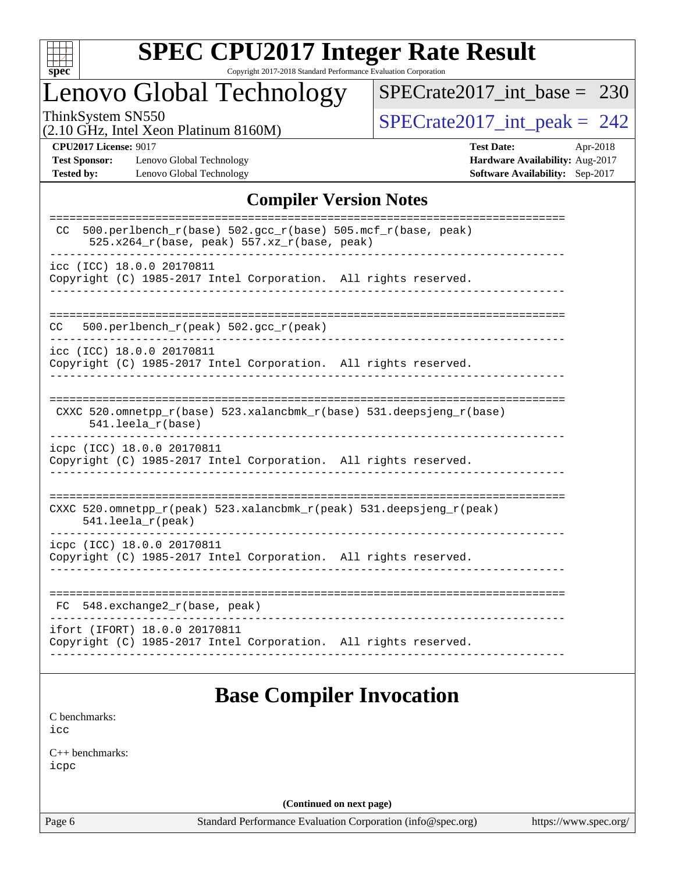

# **[SPEC CPU2017 Integer Rate Result](http://www.spec.org/auto/cpu2017/Docs/result-fields.html#SPECCPU2017IntegerRateResult)**

Copyright 2017-2018 Standard Performance Evaluation Corporation

### Lenovo Global Technology

ThinkSystem SN550<br>(2.10 GHz, Intel Xeon Platinum 8160M)  $SPECrate2017\_int\_peak = 242$ [SPECrate2017\\_int\\_base =](http://www.spec.org/auto/cpu2017/Docs/result-fields.html#SPECrate2017intbase) 230

(2.10 GHz, Intel Xeon Platinum 8160M)

**[Test Sponsor:](http://www.spec.org/auto/cpu2017/Docs/result-fields.html#TestSponsor)** Lenovo Global Technology **[Hardware Availability:](http://www.spec.org/auto/cpu2017/Docs/result-fields.html#HardwareAvailability)** Aug-2017 **[Tested by:](http://www.spec.org/auto/cpu2017/Docs/result-fields.html#Testedby)** Lenovo Global Technology **[Software Availability:](http://www.spec.org/auto/cpu2017/Docs/result-fields.html#SoftwareAvailability)** Sep-2017

**[CPU2017 License:](http://www.spec.org/auto/cpu2017/Docs/result-fields.html#CPU2017License)** 9017 **[Test Date:](http://www.spec.org/auto/cpu2017/Docs/result-fields.html#TestDate)** Apr-2018

#### **[Compiler Version Notes](http://www.spec.org/auto/cpu2017/Docs/result-fields.html#CompilerVersionNotes)**

| 500.perlbench $r(base)$ 502.qcc $r(base)$ 505.mcf $r(base, peak)$<br>CC.<br>525.x264_r(base, peak) 557.xz_r(base, peak) |
|-------------------------------------------------------------------------------------------------------------------------|
| icc (ICC) 18.0.0 20170811<br>Copyright (C) 1985-2017 Intel Corporation. All rights reserved.                            |
| 500.perlbench_r(peak) 502.gcc_r(peak)<br>CC                                                                             |
| icc (ICC) 18.0.0 20170811<br>Copyright (C) 1985-2017 Intel Corporation. All rights reserved.                            |
| CXXC $520.\text{omnetpp_r(base)}$ $523.\text{xalancbmk_r(base)}$ $531.\text{deepsjeng_r(base)}$<br>$541.$ leela_r(base) |
| icpc (ICC) 18.0.0 20170811<br>Copyright (C) 1985-2017 Intel Corporation. All rights reserved.                           |
| CXXC 520.omnetpp_r(peak) 523.xalancbmk_r(peak) 531.deepsjeng_r(peak)<br>541.leela_r(peak)                               |
| icpc (ICC) 18.0.0 20170811<br>Copyright (C) 1985-2017 Intel Corporation. All rights reserved.                           |
| 548.exchange2_r(base, peak)<br>FC.                                                                                      |
| ifort (IFORT) 18.0.0 20170811<br>Copyright (C) 1985-2017 Intel Corporation. All rights reserved.                        |
|                                                                                                                         |

### **[Base Compiler Invocation](http://www.spec.org/auto/cpu2017/Docs/result-fields.html#BaseCompilerInvocation)**

[C benchmarks](http://www.spec.org/auto/cpu2017/Docs/result-fields.html#Cbenchmarks): [icc](http://www.spec.org/cpu2017/results/res2018q2/cpu2017-20180511-05465.flags.html#user_CCbase_intel_icc_18.0_66fc1ee009f7361af1fbd72ca7dcefbb700085f36577c54f309893dd4ec40d12360134090235512931783d35fd58c0460139e722d5067c5574d8eaf2b3e37e92)

[C++ benchmarks:](http://www.spec.org/auto/cpu2017/Docs/result-fields.html#CXXbenchmarks) [icpc](http://www.spec.org/cpu2017/results/res2018q2/cpu2017-20180511-05465.flags.html#user_CXXbase_intel_icpc_18.0_c510b6838c7f56d33e37e94d029a35b4a7bccf4766a728ee175e80a419847e808290a9b78be685c44ab727ea267ec2f070ec5dc83b407c0218cded6866a35d07)

**(Continued on next page)**

Page 6 Standard Performance Evaluation Corporation [\(info@spec.org\)](mailto:info@spec.org) <https://www.spec.org/>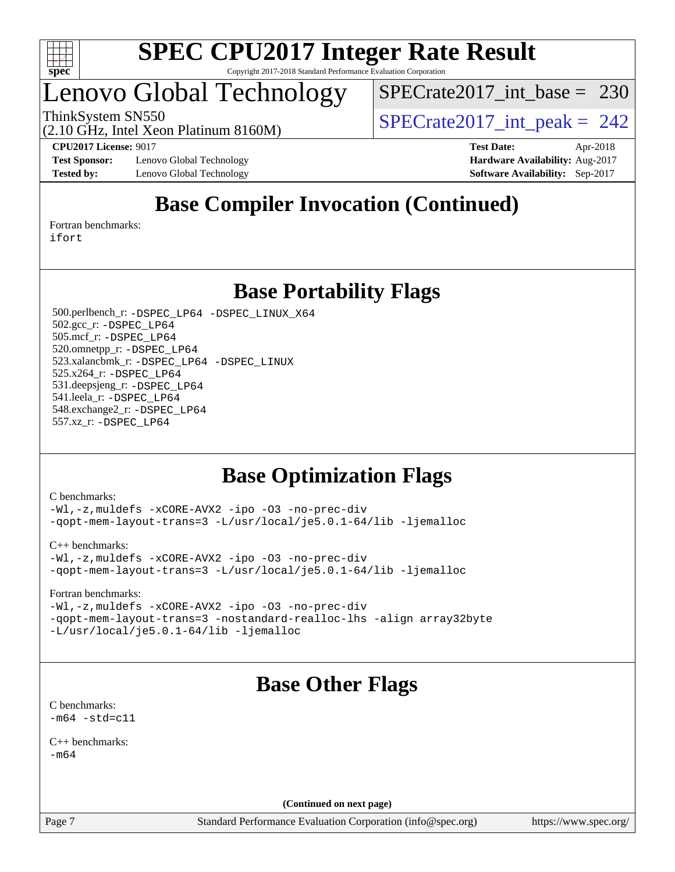

### Lenovo Global Technology

[SPECrate2017\\_int\\_base =](http://www.spec.org/auto/cpu2017/Docs/result-fields.html#SPECrate2017intbase) 230

(2.10 GHz, Intel Xeon Platinum 8160M)

ThinkSystem SN550<br>  $\frac{1}{2}$  [SPECrate2017\\_int\\_peak =](http://www.spec.org/auto/cpu2017/Docs/result-fields.html#SPECrate2017intpeak) 242

**[Test Sponsor:](http://www.spec.org/auto/cpu2017/Docs/result-fields.html#TestSponsor)** Lenovo Global Technology **[Hardware Availability:](http://www.spec.org/auto/cpu2017/Docs/result-fields.html#HardwareAvailability)** Aug-2017 **[Tested by:](http://www.spec.org/auto/cpu2017/Docs/result-fields.html#Testedby)** Lenovo Global Technology **[Software Availability:](http://www.spec.org/auto/cpu2017/Docs/result-fields.html#SoftwareAvailability)** Sep-2017

**[CPU2017 License:](http://www.spec.org/auto/cpu2017/Docs/result-fields.html#CPU2017License)** 9017 **[Test Date:](http://www.spec.org/auto/cpu2017/Docs/result-fields.html#TestDate)** Apr-2018

### **[Base Compiler Invocation \(Continued\)](http://www.spec.org/auto/cpu2017/Docs/result-fields.html#BaseCompilerInvocation)**

[Fortran benchmarks](http://www.spec.org/auto/cpu2017/Docs/result-fields.html#Fortranbenchmarks): [ifort](http://www.spec.org/cpu2017/results/res2018q2/cpu2017-20180511-05465.flags.html#user_FCbase_intel_ifort_18.0_8111460550e3ca792625aed983ce982f94888b8b503583aa7ba2b8303487b4d8a21a13e7191a45c5fd58ff318f48f9492884d4413fa793fd88dd292cad7027ca)

**[Base Portability Flags](http://www.spec.org/auto/cpu2017/Docs/result-fields.html#BasePortabilityFlags)**

 500.perlbench\_r: [-DSPEC\\_LP64](http://www.spec.org/cpu2017/results/res2018q2/cpu2017-20180511-05465.flags.html#b500.perlbench_r_basePORTABILITY_DSPEC_LP64) [-DSPEC\\_LINUX\\_X64](http://www.spec.org/cpu2017/results/res2018q2/cpu2017-20180511-05465.flags.html#b500.perlbench_r_baseCPORTABILITY_DSPEC_LINUX_X64) 502.gcc\_r: [-DSPEC\\_LP64](http://www.spec.org/cpu2017/results/res2018q2/cpu2017-20180511-05465.flags.html#suite_basePORTABILITY502_gcc_r_DSPEC_LP64) 505.mcf\_r: [-DSPEC\\_LP64](http://www.spec.org/cpu2017/results/res2018q2/cpu2017-20180511-05465.flags.html#suite_basePORTABILITY505_mcf_r_DSPEC_LP64) 520.omnetpp\_r: [-DSPEC\\_LP64](http://www.spec.org/cpu2017/results/res2018q2/cpu2017-20180511-05465.flags.html#suite_basePORTABILITY520_omnetpp_r_DSPEC_LP64) 523.xalancbmk\_r: [-DSPEC\\_LP64](http://www.spec.org/cpu2017/results/res2018q2/cpu2017-20180511-05465.flags.html#suite_basePORTABILITY523_xalancbmk_r_DSPEC_LP64) [-DSPEC\\_LINUX](http://www.spec.org/cpu2017/results/res2018q2/cpu2017-20180511-05465.flags.html#b523.xalancbmk_r_baseCXXPORTABILITY_DSPEC_LINUX) 525.x264\_r: [-DSPEC\\_LP64](http://www.spec.org/cpu2017/results/res2018q2/cpu2017-20180511-05465.flags.html#suite_basePORTABILITY525_x264_r_DSPEC_LP64) 531.deepsjeng\_r: [-DSPEC\\_LP64](http://www.spec.org/cpu2017/results/res2018q2/cpu2017-20180511-05465.flags.html#suite_basePORTABILITY531_deepsjeng_r_DSPEC_LP64) 541.leela\_r: [-DSPEC\\_LP64](http://www.spec.org/cpu2017/results/res2018q2/cpu2017-20180511-05465.flags.html#suite_basePORTABILITY541_leela_r_DSPEC_LP64) 548.exchange2\_r: [-DSPEC\\_LP64](http://www.spec.org/cpu2017/results/res2018q2/cpu2017-20180511-05465.flags.html#suite_basePORTABILITY548_exchange2_r_DSPEC_LP64) 557.xz\_r: [-DSPEC\\_LP64](http://www.spec.org/cpu2017/results/res2018q2/cpu2017-20180511-05465.flags.html#suite_basePORTABILITY557_xz_r_DSPEC_LP64)

### **[Base Optimization Flags](http://www.spec.org/auto/cpu2017/Docs/result-fields.html#BaseOptimizationFlags)**

[C benchmarks](http://www.spec.org/auto/cpu2017/Docs/result-fields.html#Cbenchmarks):

[-Wl,-z,muldefs](http://www.spec.org/cpu2017/results/res2018q2/cpu2017-20180511-05465.flags.html#user_CCbase_link_force_multiple1_b4cbdb97b34bdee9ceefcfe54f4c8ea74255f0b02a4b23e853cdb0e18eb4525ac79b5a88067c842dd0ee6996c24547a27a4b99331201badda8798ef8a743f577) [-xCORE-AVX2](http://www.spec.org/cpu2017/results/res2018q2/cpu2017-20180511-05465.flags.html#user_CCbase_f-xCORE-AVX2) [-ipo](http://www.spec.org/cpu2017/results/res2018q2/cpu2017-20180511-05465.flags.html#user_CCbase_f-ipo) [-O3](http://www.spec.org/cpu2017/results/res2018q2/cpu2017-20180511-05465.flags.html#user_CCbase_f-O3) [-no-prec-div](http://www.spec.org/cpu2017/results/res2018q2/cpu2017-20180511-05465.flags.html#user_CCbase_f-no-prec-div) [-qopt-mem-layout-trans=3](http://www.spec.org/cpu2017/results/res2018q2/cpu2017-20180511-05465.flags.html#user_CCbase_f-qopt-mem-layout-trans_de80db37974c74b1f0e20d883f0b675c88c3b01e9d123adea9b28688d64333345fb62bc4a798493513fdb68f60282f9a726aa07f478b2f7113531aecce732043) [-L/usr/local/je5.0.1-64/lib](http://www.spec.org/cpu2017/results/res2018q2/cpu2017-20180511-05465.flags.html#user_CCbase_jemalloc_link_path64_4b10a636b7bce113509b17f3bd0d6226c5fb2346b9178c2d0232c14f04ab830f976640479e5c33dc2bcbbdad86ecfb6634cbbd4418746f06f368b512fced5394) [-ljemalloc](http://www.spec.org/cpu2017/results/res2018q2/cpu2017-20180511-05465.flags.html#user_CCbase_jemalloc_link_lib_d1249b907c500fa1c0672f44f562e3d0f79738ae9e3c4a9c376d49f265a04b9c99b167ecedbf6711b3085be911c67ff61f150a17b3472be731631ba4d0471706)

[C++ benchmarks:](http://www.spec.org/auto/cpu2017/Docs/result-fields.html#CXXbenchmarks)

[-Wl,-z,muldefs](http://www.spec.org/cpu2017/results/res2018q2/cpu2017-20180511-05465.flags.html#user_CXXbase_link_force_multiple1_b4cbdb97b34bdee9ceefcfe54f4c8ea74255f0b02a4b23e853cdb0e18eb4525ac79b5a88067c842dd0ee6996c24547a27a4b99331201badda8798ef8a743f577) [-xCORE-AVX2](http://www.spec.org/cpu2017/results/res2018q2/cpu2017-20180511-05465.flags.html#user_CXXbase_f-xCORE-AVX2) [-ipo](http://www.spec.org/cpu2017/results/res2018q2/cpu2017-20180511-05465.flags.html#user_CXXbase_f-ipo) [-O3](http://www.spec.org/cpu2017/results/res2018q2/cpu2017-20180511-05465.flags.html#user_CXXbase_f-O3) [-no-prec-div](http://www.spec.org/cpu2017/results/res2018q2/cpu2017-20180511-05465.flags.html#user_CXXbase_f-no-prec-div) [-qopt-mem-layout-trans=3](http://www.spec.org/cpu2017/results/res2018q2/cpu2017-20180511-05465.flags.html#user_CXXbase_f-qopt-mem-layout-trans_de80db37974c74b1f0e20d883f0b675c88c3b01e9d123adea9b28688d64333345fb62bc4a798493513fdb68f60282f9a726aa07f478b2f7113531aecce732043) [-L/usr/local/je5.0.1-64/lib](http://www.spec.org/cpu2017/results/res2018q2/cpu2017-20180511-05465.flags.html#user_CXXbase_jemalloc_link_path64_4b10a636b7bce113509b17f3bd0d6226c5fb2346b9178c2d0232c14f04ab830f976640479e5c33dc2bcbbdad86ecfb6634cbbd4418746f06f368b512fced5394) [-ljemalloc](http://www.spec.org/cpu2017/results/res2018q2/cpu2017-20180511-05465.flags.html#user_CXXbase_jemalloc_link_lib_d1249b907c500fa1c0672f44f562e3d0f79738ae9e3c4a9c376d49f265a04b9c99b167ecedbf6711b3085be911c67ff61f150a17b3472be731631ba4d0471706)

[Fortran benchmarks](http://www.spec.org/auto/cpu2017/Docs/result-fields.html#Fortranbenchmarks):

[-Wl,-z,muldefs](http://www.spec.org/cpu2017/results/res2018q2/cpu2017-20180511-05465.flags.html#user_FCbase_link_force_multiple1_b4cbdb97b34bdee9ceefcfe54f4c8ea74255f0b02a4b23e853cdb0e18eb4525ac79b5a88067c842dd0ee6996c24547a27a4b99331201badda8798ef8a743f577) [-xCORE-AVX2](http://www.spec.org/cpu2017/results/res2018q2/cpu2017-20180511-05465.flags.html#user_FCbase_f-xCORE-AVX2) [-ipo](http://www.spec.org/cpu2017/results/res2018q2/cpu2017-20180511-05465.flags.html#user_FCbase_f-ipo) [-O3](http://www.spec.org/cpu2017/results/res2018q2/cpu2017-20180511-05465.flags.html#user_FCbase_f-O3) [-no-prec-div](http://www.spec.org/cpu2017/results/res2018q2/cpu2017-20180511-05465.flags.html#user_FCbase_f-no-prec-div) [-qopt-mem-layout-trans=3](http://www.spec.org/cpu2017/results/res2018q2/cpu2017-20180511-05465.flags.html#user_FCbase_f-qopt-mem-layout-trans_de80db37974c74b1f0e20d883f0b675c88c3b01e9d123adea9b28688d64333345fb62bc4a798493513fdb68f60282f9a726aa07f478b2f7113531aecce732043) [-nostandard-realloc-lhs](http://www.spec.org/cpu2017/results/res2018q2/cpu2017-20180511-05465.flags.html#user_FCbase_f_2003_std_realloc_82b4557e90729c0f113870c07e44d33d6f5a304b4f63d4c15d2d0f1fab99f5daaed73bdb9275d9ae411527f28b936061aa8b9c8f2d63842963b95c9dd6426b8a) [-align array32byte](http://www.spec.org/cpu2017/results/res2018q2/cpu2017-20180511-05465.flags.html#user_FCbase_align_array32byte_b982fe038af199962ba9a80c053b8342c548c85b40b8e86eb3cc33dee0d7986a4af373ac2d51c3f7cf710a18d62fdce2948f201cd044323541f22fc0fffc51b6) [-L/usr/local/je5.0.1-64/lib](http://www.spec.org/cpu2017/results/res2018q2/cpu2017-20180511-05465.flags.html#user_FCbase_jemalloc_link_path64_4b10a636b7bce113509b17f3bd0d6226c5fb2346b9178c2d0232c14f04ab830f976640479e5c33dc2bcbbdad86ecfb6634cbbd4418746f06f368b512fced5394) [-ljemalloc](http://www.spec.org/cpu2017/results/res2018q2/cpu2017-20180511-05465.flags.html#user_FCbase_jemalloc_link_lib_d1249b907c500fa1c0672f44f562e3d0f79738ae9e3c4a9c376d49f265a04b9c99b167ecedbf6711b3085be911c67ff61f150a17b3472be731631ba4d0471706)

### **[Base Other Flags](http://www.spec.org/auto/cpu2017/Docs/result-fields.html#BaseOtherFlags)**

[C benchmarks](http://www.spec.org/auto/cpu2017/Docs/result-fields.html#Cbenchmarks):  $-m64 - std= c11$  $-m64 - std= c11$ 

[C++ benchmarks:](http://www.spec.org/auto/cpu2017/Docs/result-fields.html#CXXbenchmarks)  $-m64$ 

**(Continued on next page)**

Page 7 Standard Performance Evaluation Corporation [\(info@spec.org\)](mailto:info@spec.org) <https://www.spec.org/>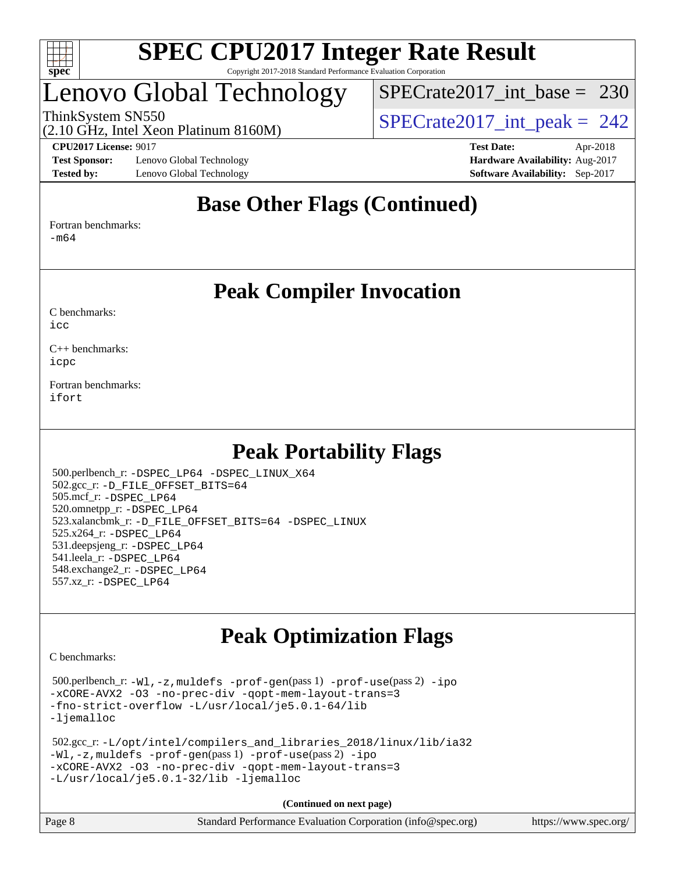

## Lenovo Global Technology

[SPECrate2017\\_int\\_base =](http://www.spec.org/auto/cpu2017/Docs/result-fields.html#SPECrate2017intbase) 230

(2.10 GHz, Intel Xeon Platinum 8160M) ThinkSystem SN550<br>  $\angle (2.10 \text{ GHz. Intel Yoon Plotinum } 8160 \text{M})$   $\angle$  [SPECrate2017\\_int\\_peak =](http://www.spec.org/auto/cpu2017/Docs/result-fields.html#SPECrate2017intpeak) 242

**[Test Sponsor:](http://www.spec.org/auto/cpu2017/Docs/result-fields.html#TestSponsor)** Lenovo Global Technology **[Hardware Availability:](http://www.spec.org/auto/cpu2017/Docs/result-fields.html#HardwareAvailability)** Aug-2017 **[Tested by:](http://www.spec.org/auto/cpu2017/Docs/result-fields.html#Testedby)** Lenovo Global Technology **[Software Availability:](http://www.spec.org/auto/cpu2017/Docs/result-fields.html#SoftwareAvailability)** Sep-2017

**[CPU2017 License:](http://www.spec.org/auto/cpu2017/Docs/result-fields.html#CPU2017License)** 9017 **[Test Date:](http://www.spec.org/auto/cpu2017/Docs/result-fields.html#TestDate)** Apr-2018

### **[Base Other Flags \(Continued\)](http://www.spec.org/auto/cpu2017/Docs/result-fields.html#BaseOtherFlags)**

[Fortran benchmarks](http://www.spec.org/auto/cpu2017/Docs/result-fields.html#Fortranbenchmarks):

[-m64](http://www.spec.org/cpu2017/results/res2018q2/cpu2017-20180511-05465.flags.html#user_FCbase_intel_intel64_18.0_af43caccfc8ded86e7699f2159af6efc7655f51387b94da716254467f3c01020a5059329e2569e4053f409e7c9202a7efc638f7a6d1ffb3f52dea4a3e31d82ab)

**[Peak Compiler Invocation](http://www.spec.org/auto/cpu2017/Docs/result-fields.html#PeakCompilerInvocation)**

[C benchmarks](http://www.spec.org/auto/cpu2017/Docs/result-fields.html#Cbenchmarks):  $i$ cc

[C++ benchmarks:](http://www.spec.org/auto/cpu2017/Docs/result-fields.html#CXXbenchmarks) [icpc](http://www.spec.org/cpu2017/results/res2018q2/cpu2017-20180511-05465.flags.html#user_CXXpeak_intel_icpc_18.0_c510b6838c7f56d33e37e94d029a35b4a7bccf4766a728ee175e80a419847e808290a9b78be685c44ab727ea267ec2f070ec5dc83b407c0218cded6866a35d07)

[Fortran benchmarks](http://www.spec.org/auto/cpu2017/Docs/result-fields.html#Fortranbenchmarks): [ifort](http://www.spec.org/cpu2017/results/res2018q2/cpu2017-20180511-05465.flags.html#user_FCpeak_intel_ifort_18.0_8111460550e3ca792625aed983ce982f94888b8b503583aa7ba2b8303487b4d8a21a13e7191a45c5fd58ff318f48f9492884d4413fa793fd88dd292cad7027ca)

### **[Peak Portability Flags](http://www.spec.org/auto/cpu2017/Docs/result-fields.html#PeakPortabilityFlags)**

 500.perlbench\_r: [-DSPEC\\_LP64](http://www.spec.org/cpu2017/results/res2018q2/cpu2017-20180511-05465.flags.html#b500.perlbench_r_peakPORTABILITY_DSPEC_LP64) [-DSPEC\\_LINUX\\_X64](http://www.spec.org/cpu2017/results/res2018q2/cpu2017-20180511-05465.flags.html#b500.perlbench_r_peakCPORTABILITY_DSPEC_LINUX_X64) 502.gcc\_r: [-D\\_FILE\\_OFFSET\\_BITS=64](http://www.spec.org/cpu2017/results/res2018q2/cpu2017-20180511-05465.flags.html#user_peakPORTABILITY502_gcc_r_file_offset_bits_64_5ae949a99b284ddf4e95728d47cb0843d81b2eb0e18bdfe74bbf0f61d0b064f4bda2f10ea5eb90e1dcab0e84dbc592acfc5018bc955c18609f94ddb8d550002c) 505.mcf\_r: [-DSPEC\\_LP64](http://www.spec.org/cpu2017/results/res2018q2/cpu2017-20180511-05465.flags.html#suite_peakPORTABILITY505_mcf_r_DSPEC_LP64) 520.omnetpp\_r: [-DSPEC\\_LP64](http://www.spec.org/cpu2017/results/res2018q2/cpu2017-20180511-05465.flags.html#suite_peakPORTABILITY520_omnetpp_r_DSPEC_LP64) 523.xalancbmk\_r: [-D\\_FILE\\_OFFSET\\_BITS=64](http://www.spec.org/cpu2017/results/res2018q2/cpu2017-20180511-05465.flags.html#user_peakPORTABILITY523_xalancbmk_r_file_offset_bits_64_5ae949a99b284ddf4e95728d47cb0843d81b2eb0e18bdfe74bbf0f61d0b064f4bda2f10ea5eb90e1dcab0e84dbc592acfc5018bc955c18609f94ddb8d550002c) [-DSPEC\\_LINUX](http://www.spec.org/cpu2017/results/res2018q2/cpu2017-20180511-05465.flags.html#b523.xalancbmk_r_peakCXXPORTABILITY_DSPEC_LINUX) 525.x264\_r: [-DSPEC\\_LP64](http://www.spec.org/cpu2017/results/res2018q2/cpu2017-20180511-05465.flags.html#suite_peakPORTABILITY525_x264_r_DSPEC_LP64) 531.deepsjeng\_r: [-DSPEC\\_LP64](http://www.spec.org/cpu2017/results/res2018q2/cpu2017-20180511-05465.flags.html#suite_peakPORTABILITY531_deepsjeng_r_DSPEC_LP64) 541.leela\_r: [-DSPEC\\_LP64](http://www.spec.org/cpu2017/results/res2018q2/cpu2017-20180511-05465.flags.html#suite_peakPORTABILITY541_leela_r_DSPEC_LP64) 548.exchange2\_r: [-DSPEC\\_LP64](http://www.spec.org/cpu2017/results/res2018q2/cpu2017-20180511-05465.flags.html#suite_peakPORTABILITY548_exchange2_r_DSPEC_LP64) 557.xz\_r: [-DSPEC\\_LP64](http://www.spec.org/cpu2017/results/res2018q2/cpu2017-20180511-05465.flags.html#suite_peakPORTABILITY557_xz_r_DSPEC_LP64)

### **[Peak Optimization Flags](http://www.spec.org/auto/cpu2017/Docs/result-fields.html#PeakOptimizationFlags)**

[C benchmarks](http://www.spec.org/auto/cpu2017/Docs/result-fields.html#Cbenchmarks):

 500.perlbench\_r: [-Wl,-z,muldefs](http://www.spec.org/cpu2017/results/res2018q2/cpu2017-20180511-05465.flags.html#user_peakEXTRA_LDFLAGS500_perlbench_r_link_force_multiple1_b4cbdb97b34bdee9ceefcfe54f4c8ea74255f0b02a4b23e853cdb0e18eb4525ac79b5a88067c842dd0ee6996c24547a27a4b99331201badda8798ef8a743f577) [-prof-gen](http://www.spec.org/cpu2017/results/res2018q2/cpu2017-20180511-05465.flags.html#user_peakPASS1_CFLAGSPASS1_LDFLAGS500_perlbench_r_prof_gen_5aa4926d6013ddb2a31985c654b3eb18169fc0c6952a63635c234f711e6e63dd76e94ad52365559451ec499a2cdb89e4dc58ba4c67ef54ca681ffbe1461d6b36)(pass 1) [-prof-use](http://www.spec.org/cpu2017/results/res2018q2/cpu2017-20180511-05465.flags.html#user_peakPASS2_CFLAGSPASS2_LDFLAGS500_perlbench_r_prof_use_1a21ceae95f36a2b53c25747139a6c16ca95bd9def2a207b4f0849963b97e94f5260e30a0c64f4bb623698870e679ca08317ef8150905d41bd88c6f78df73f19)(pass 2) [-ipo](http://www.spec.org/cpu2017/results/res2018q2/cpu2017-20180511-05465.flags.html#user_peakPASS1_COPTIMIZEPASS2_COPTIMIZE500_perlbench_r_f-ipo) [-xCORE-AVX2](http://www.spec.org/cpu2017/results/res2018q2/cpu2017-20180511-05465.flags.html#user_peakPASS2_COPTIMIZE500_perlbench_r_f-xCORE-AVX2) [-O3](http://www.spec.org/cpu2017/results/res2018q2/cpu2017-20180511-05465.flags.html#user_peakPASS1_COPTIMIZEPASS2_COPTIMIZE500_perlbench_r_f-O3) [-no-prec-div](http://www.spec.org/cpu2017/results/res2018q2/cpu2017-20180511-05465.flags.html#user_peakPASS1_COPTIMIZEPASS2_COPTIMIZE500_perlbench_r_f-no-prec-div) [-qopt-mem-layout-trans=3](http://www.spec.org/cpu2017/results/res2018q2/cpu2017-20180511-05465.flags.html#user_peakPASS1_COPTIMIZEPASS2_COPTIMIZE500_perlbench_r_f-qopt-mem-layout-trans_de80db37974c74b1f0e20d883f0b675c88c3b01e9d123adea9b28688d64333345fb62bc4a798493513fdb68f60282f9a726aa07f478b2f7113531aecce732043) [-fno-strict-overflow](http://www.spec.org/cpu2017/results/res2018q2/cpu2017-20180511-05465.flags.html#user_peakEXTRA_OPTIMIZE500_perlbench_r_f-fno-strict-overflow) [-L/usr/local/je5.0.1-64/lib](http://www.spec.org/cpu2017/results/res2018q2/cpu2017-20180511-05465.flags.html#user_peakEXTRA_LIBS500_perlbench_r_jemalloc_link_path64_4b10a636b7bce113509b17f3bd0d6226c5fb2346b9178c2d0232c14f04ab830f976640479e5c33dc2bcbbdad86ecfb6634cbbd4418746f06f368b512fced5394) [-ljemalloc](http://www.spec.org/cpu2017/results/res2018q2/cpu2017-20180511-05465.flags.html#user_peakEXTRA_LIBS500_perlbench_r_jemalloc_link_lib_d1249b907c500fa1c0672f44f562e3d0f79738ae9e3c4a9c376d49f265a04b9c99b167ecedbf6711b3085be911c67ff61f150a17b3472be731631ba4d0471706)

```
 502.gcc_r: -L/opt/intel/compilers_and_libraries_2018/linux/lib/ia32
-Wl,-z,muldefs -prof-gen(pass 1) -prof-use(pass 2) -ipo
-xCORE-AVX2 -O3 -no-prec-div -qopt-mem-layout-trans=3
-L/usr/local/je5.0.1-32/lib -ljemalloc
```

| Page 8 | Standard Performance Evaluation Corporation (info@spec.org) | https://www.spec.org/ |
|--------|-------------------------------------------------------------|-----------------------|
|        |                                                             |                       |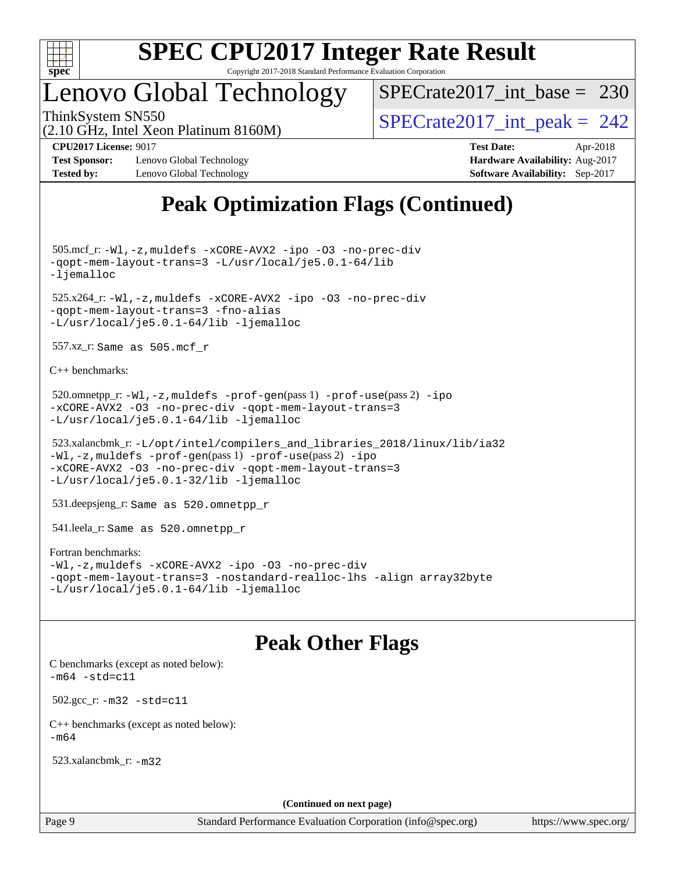

### Lenovo Global Technology

 $SPECrate2017\_int\_base = 230$ 

(2.10 GHz, Intel Xeon Platinum 8160M)

ThinkSystem SN550<br>  $\angle (2.10 \text{ GHz. Intel Yoon Plotinum } 8160 \text{M})$   $\angle$  [SPECrate2017\\_int\\_peak =](http://www.spec.org/auto/cpu2017/Docs/result-fields.html#SPECrate2017intpeak) 242

**[Test Sponsor:](http://www.spec.org/auto/cpu2017/Docs/result-fields.html#TestSponsor)** Lenovo Global Technology **[Hardware Availability:](http://www.spec.org/auto/cpu2017/Docs/result-fields.html#HardwareAvailability)** Aug-2017 **[Tested by:](http://www.spec.org/auto/cpu2017/Docs/result-fields.html#Testedby)** Lenovo Global Technology **[Software Availability:](http://www.spec.org/auto/cpu2017/Docs/result-fields.html#SoftwareAvailability)** Sep-2017

**[CPU2017 License:](http://www.spec.org/auto/cpu2017/Docs/result-fields.html#CPU2017License)** 9017 **[Test Date:](http://www.spec.org/auto/cpu2017/Docs/result-fields.html#TestDate)** Apr-2018

### **[Peak Optimization Flags \(Continued\)](http://www.spec.org/auto/cpu2017/Docs/result-fields.html#PeakOptimizationFlags)**

 505.mcf\_r: [-Wl,-z,muldefs](http://www.spec.org/cpu2017/results/res2018q2/cpu2017-20180511-05465.flags.html#user_peakEXTRA_LDFLAGS505_mcf_r_link_force_multiple1_b4cbdb97b34bdee9ceefcfe54f4c8ea74255f0b02a4b23e853cdb0e18eb4525ac79b5a88067c842dd0ee6996c24547a27a4b99331201badda8798ef8a743f577) [-xCORE-AVX2](http://www.spec.org/cpu2017/results/res2018q2/cpu2017-20180511-05465.flags.html#user_peakCOPTIMIZE505_mcf_r_f-xCORE-AVX2) [-ipo](http://www.spec.org/cpu2017/results/res2018q2/cpu2017-20180511-05465.flags.html#user_peakCOPTIMIZE505_mcf_r_f-ipo) [-O3](http://www.spec.org/cpu2017/results/res2018q2/cpu2017-20180511-05465.flags.html#user_peakCOPTIMIZE505_mcf_r_f-O3) [-no-prec-div](http://www.spec.org/cpu2017/results/res2018q2/cpu2017-20180511-05465.flags.html#user_peakCOPTIMIZE505_mcf_r_f-no-prec-div) [-qopt-mem-layout-trans=3](http://www.spec.org/cpu2017/results/res2018q2/cpu2017-20180511-05465.flags.html#user_peakCOPTIMIZE505_mcf_r_f-qopt-mem-layout-trans_de80db37974c74b1f0e20d883f0b675c88c3b01e9d123adea9b28688d64333345fb62bc4a798493513fdb68f60282f9a726aa07f478b2f7113531aecce732043) [-L/usr/local/je5.0.1-64/lib](http://www.spec.org/cpu2017/results/res2018q2/cpu2017-20180511-05465.flags.html#user_peakEXTRA_LIBS505_mcf_r_jemalloc_link_path64_4b10a636b7bce113509b17f3bd0d6226c5fb2346b9178c2d0232c14f04ab830f976640479e5c33dc2bcbbdad86ecfb6634cbbd4418746f06f368b512fced5394) [-ljemalloc](http://www.spec.org/cpu2017/results/res2018q2/cpu2017-20180511-05465.flags.html#user_peakEXTRA_LIBS505_mcf_r_jemalloc_link_lib_d1249b907c500fa1c0672f44f562e3d0f79738ae9e3c4a9c376d49f265a04b9c99b167ecedbf6711b3085be911c67ff61f150a17b3472be731631ba4d0471706)

 525.x264\_r: [-Wl,-z,muldefs](http://www.spec.org/cpu2017/results/res2018q2/cpu2017-20180511-05465.flags.html#user_peakEXTRA_LDFLAGS525_x264_r_link_force_multiple1_b4cbdb97b34bdee9ceefcfe54f4c8ea74255f0b02a4b23e853cdb0e18eb4525ac79b5a88067c842dd0ee6996c24547a27a4b99331201badda8798ef8a743f577) [-xCORE-AVX2](http://www.spec.org/cpu2017/results/res2018q2/cpu2017-20180511-05465.flags.html#user_peakCOPTIMIZE525_x264_r_f-xCORE-AVX2) [-ipo](http://www.spec.org/cpu2017/results/res2018q2/cpu2017-20180511-05465.flags.html#user_peakCOPTIMIZE525_x264_r_f-ipo) [-O3](http://www.spec.org/cpu2017/results/res2018q2/cpu2017-20180511-05465.flags.html#user_peakCOPTIMIZE525_x264_r_f-O3) [-no-prec-div](http://www.spec.org/cpu2017/results/res2018q2/cpu2017-20180511-05465.flags.html#user_peakCOPTIMIZE525_x264_r_f-no-prec-div) [-qopt-mem-layout-trans=3](http://www.spec.org/cpu2017/results/res2018q2/cpu2017-20180511-05465.flags.html#user_peakCOPTIMIZE525_x264_r_f-qopt-mem-layout-trans_de80db37974c74b1f0e20d883f0b675c88c3b01e9d123adea9b28688d64333345fb62bc4a798493513fdb68f60282f9a726aa07f478b2f7113531aecce732043) [-fno-alias](http://www.spec.org/cpu2017/results/res2018q2/cpu2017-20180511-05465.flags.html#user_peakEXTRA_OPTIMIZE525_x264_r_f-no-alias_77dbac10d91cbfe898fbf4a29d1b29b694089caa623bdd1baccc9957d4edbe8d106c0b357e2748a65b44fc9e83d78098bb898077f3fe92f9faf24f7bd4a07ed7) [-L/usr/local/je5.0.1-64/lib](http://www.spec.org/cpu2017/results/res2018q2/cpu2017-20180511-05465.flags.html#user_peakEXTRA_LIBS525_x264_r_jemalloc_link_path64_4b10a636b7bce113509b17f3bd0d6226c5fb2346b9178c2d0232c14f04ab830f976640479e5c33dc2bcbbdad86ecfb6634cbbd4418746f06f368b512fced5394) [-ljemalloc](http://www.spec.org/cpu2017/results/res2018q2/cpu2017-20180511-05465.flags.html#user_peakEXTRA_LIBS525_x264_r_jemalloc_link_lib_d1249b907c500fa1c0672f44f562e3d0f79738ae9e3c4a9c376d49f265a04b9c99b167ecedbf6711b3085be911c67ff61f150a17b3472be731631ba4d0471706)

557.xz\_r: Same as 505.mcf\_r

[C++ benchmarks:](http://www.spec.org/auto/cpu2017/Docs/result-fields.html#CXXbenchmarks)

```
520.omnetpp_r:-Wl-prof-use-ipo
-xCORE-AVX2 -O3 -no-prec-div -qopt-mem-layout-trans=3
-L/usr/local/je5.0.1-64/lib -ljemalloc
```

```
 523.xalancbmk_r: -L/opt/intel/compilers_and_libraries_2018/linux/lib/ia32
-Wl,-z,muldefs -prof-gen(pass 1) -prof-use(pass 2) -ipo
-xCORE-AVX2 -O3 -no-prec-div -qopt-mem-layout-trans=3
-L/usr/local/je5.0.1-32/lib -ljemalloc
```
531.deepsjeng\_r: Same as 520.omnetpp\_r

541.leela\_r: Same as 520.omnetpp\_r

#### [Fortran benchmarks](http://www.spec.org/auto/cpu2017/Docs/result-fields.html#Fortranbenchmarks):

```
-Wl,-z,muldefs -xCORE-AVX2 -ipo -O3 -no-prec-div
-qopt-mem-layout-trans=3 -nostandard-realloc-lhs -align array32byte
-L/usr/local/je5.0.1-64/lib -ljemalloc
```
### **[Peak Other Flags](http://www.spec.org/auto/cpu2017/Docs/result-fields.html#PeakOtherFlags)**

[C benchmarks \(except as noted below\)](http://www.spec.org/auto/cpu2017/Docs/result-fields.html#Cbenchmarksexceptasnotedbelow):  $-m64 - std= c11$  $-m64 - std= c11$  502.gcc\_r: [-m32](http://www.spec.org/cpu2017/results/res2018q2/cpu2017-20180511-05465.flags.html#user_peakCCLD502_gcc_r_intel_ia32_18.0_2666f1173eb60787016b673bfe1358e27016ef7649ea4884b7bc6187fd89dc221d14632e22638cde1c647a518de97358ab15d4ad098ee4e19a8b28d0c25e14bf) [-std=c11](http://www.spec.org/cpu2017/results/res2018q2/cpu2017-20180511-05465.flags.html#user_peakCCLD502_gcc_r_intel_compiler_c11_mode_0e1c27790398a4642dfca32ffe6c27b5796f9c2d2676156f2e42c9c44eaad0c049b1cdb667a270c34d979996257aeb8fc440bfb01818dbc9357bd9d174cb8524) [C++ benchmarks \(except as noted below\):](http://www.spec.org/auto/cpu2017/Docs/result-fields.html#CXXbenchmarksexceptasnotedbelow)  $-m64$ 

523.xalancbmk\_r: [-m32](http://www.spec.org/cpu2017/results/res2018q2/cpu2017-20180511-05465.flags.html#user_peakCXXLD523_xalancbmk_r_intel_ia32_18.0_2666f1173eb60787016b673bfe1358e27016ef7649ea4884b7bc6187fd89dc221d14632e22638cde1c647a518de97358ab15d4ad098ee4e19a8b28d0c25e14bf)